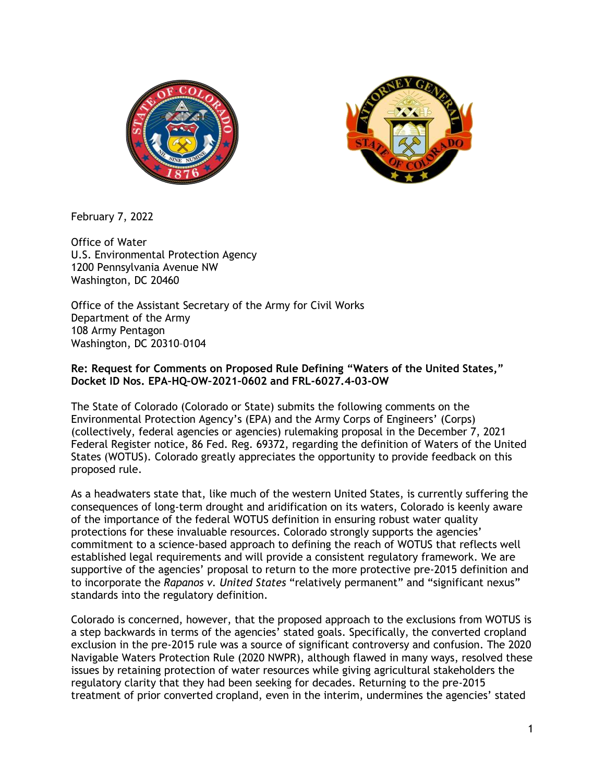



February 7, 2022

Office of Water U.S. Environmental Protection Agency 1200 Pennsylvania Avenue NW Washington, DC 20460

Office of the Assistant Secretary of the Army for Civil Works Department of the Army 108 Army Pentagon Washington, DC 20310–0104

#### **Re: Request for Comments on Proposed Rule Defining "Waters of the United States," Docket ID Nos. EPA–HQ–OW–2021–0602 and FRL-6027.4-03-OW**

The State of Colorado (Colorado or State) submits the following comments on the Environmental Protection Agency's (EPA) and the Army Corps of Engineers' (Corps) (collectively, federal agencies or agencies) rulemaking proposal in the December 7, 2021 Federal Register notice, 86 Fed. Reg. 69372, regarding the definition of Waters of the United States (WOTUS). Colorado greatly appreciates the opportunity to provide feedback on this proposed rule.

As a headwaters state that, like much of the western United States, is currently suffering the consequences of long-term drought and aridification on its waters, Colorado is keenly aware of the importance of the federal WOTUS definition in ensuring robust water quality protections for these invaluable resources. Colorado strongly supports the agencies' commitment to a science-based approach to defining the reach of WOTUS that reflects well established legal requirements and will provide a consistent regulatory framework. We are supportive of the agencies' proposal to return to the more protective pre-2015 definition and to incorporate the *Rapanos v. United States* "relatively permanent" and "significant nexus" standards into the regulatory definition.

Colorado is concerned, however, that the proposed approach to the exclusions from WOTUS is a step backwards in terms of the agencies' stated goals. Specifically, the converted cropland exclusion in the pre-2015 rule was a source of significant controversy and confusion. The 2020 Navigable Waters Protection Rule (2020 NWPR), although flawed in many ways, resolved these issues by retaining protection of water resources while giving agricultural stakeholders the regulatory clarity that they had been seeking for decades. Returning to the pre-2015 treatment of prior converted cropland, even in the interim, undermines the agencies' stated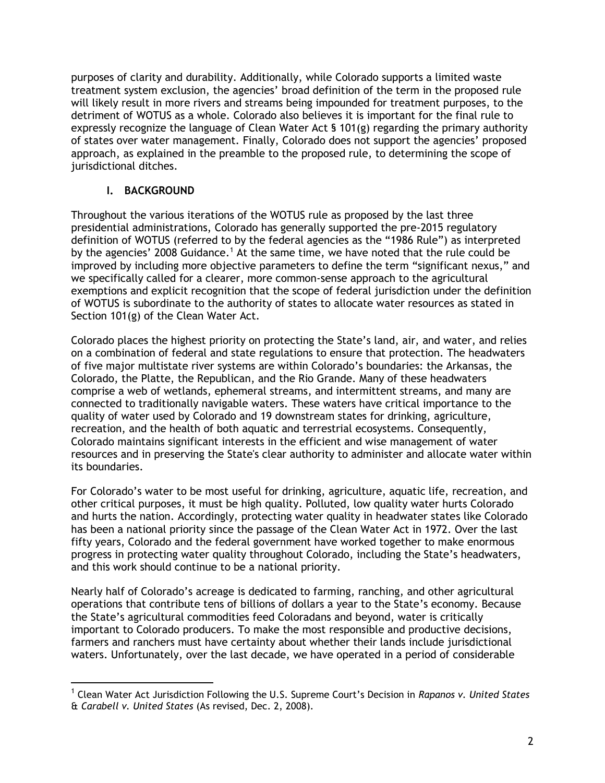purposes of clarity and durability. Additionally, while Colorado supports a limited waste treatment system exclusion, the agencies' broad definition of the term in the proposed rule will likely result in more rivers and streams being impounded for treatment purposes, to the detriment of WOTUS as a whole. Colorado also believes it is important for the final rule to expressly recognize the language of Clean Water Act  $\frac{1}{2}$  101(g) regarding the primary authority of states over water management. Finally, Colorado does not support the agencies' proposed approach, as explained in the preamble to the proposed rule, to determining the scope of jurisdictional ditches.

## **I. BACKGROUND**

Throughout the various iterations of the WOTUS rule as proposed by the last three presidential administrations, Colorado has generally supported the pre-2015 regulatory definition of WOTUS (referred to by the federal agencies as the "1986 Rule") as interpreted by the agencies' 2008 Guidance.<sup>1</sup> At the same time, we have noted that the rule could be improved by including more objective parameters to define the term "significant nexus," and we specifically called for a clearer, more common-sense approach to the agricultural exemptions and explicit recognition that the scope of federal jurisdiction under the definition of WOTUS is subordinate to the authority of states to allocate water resources as stated in Section 101(g) of the Clean Water Act.

Colorado places the highest priority on protecting the State's land, air, and water, and relies on a combination of federal and state regulations to ensure that protection. The headwaters of five major multistate river systems are within Colorado's boundaries: the Arkansas, the Colorado, the Platte, the Republican, and the Rio Grande. Many of these headwaters comprise a web of wetlands, ephemeral streams, and intermittent streams, and many are connected to traditionally navigable waters. These waters have critical importance to the quality of water used by Colorado and 19 downstream states for drinking, agriculture, recreation, and the health of both aquatic and terrestrial ecosystems. Consequently, Colorado maintains significant interests in the efficient and wise management of water resources and in preserving the State's clear authority to administer and allocate water within its boundaries.

For Colorado's water to be most useful for drinking, agriculture, aquatic life, recreation, and other critical purposes, it must be high quality. Polluted, low quality water hurts Colorado and hurts the nation. Accordingly, protecting water quality in headwater states like Colorado has been a national priority since the passage of the Clean Water Act in 1972. Over the last fifty years, Colorado and the federal government have worked together to make enormous progress in protecting water quality throughout Colorado, including the State's headwaters, and this work should continue to be a national priority.

Nearly half of Colorado's acreage is dedicated to farming, ranching, and other agricultural operations that contribute tens of billions of dollars a year to the State's economy. Because the State's agricultural commodities feed Coloradans and beyond, water is critically important to Colorado producers. To make the most responsible and productive decisions, farmers and ranchers must have certainty about whether their lands include jurisdictional waters. Unfortunately, over the last decade, we have operated in a period of considerable

<sup>1</sup> Clean Water Act Jurisdiction Following the U.S. Supreme Court's Decision in *Rapanos v. United States* & *Carabell v. United States* (As revised, Dec. 2, 2008).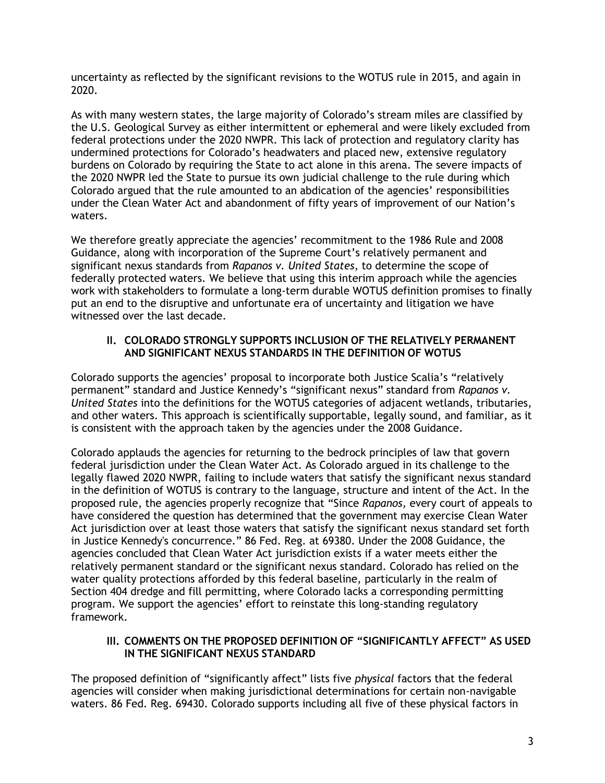uncertainty as reflected by the significant revisions to the WOTUS rule in 2015, and again in 2020.

As with many western states, the large majority of Colorado's stream miles are classified by the U.S. Geological Survey as either intermittent or ephemeral and were likely excluded from federal protections under the 2020 NWPR. This lack of protection and regulatory clarity has undermined protections for Colorado's headwaters and placed new, extensive regulatory burdens on Colorado by requiring the State to act alone in this arena. The severe impacts of the 2020 NWPR led the State to pursue its own judicial challenge to the rule during which Colorado argued that the rule amounted to an abdication of the agencies' responsibilities under the Clean Water Act and abandonment of fifty years of improvement of our Nation's waters.

We therefore greatly appreciate the agencies' recommitment to the 1986 Rule and 2008 Guidance, along with incorporation of the Supreme Court's relatively permanent and significant nexus standards from *Rapanos v. United States*, to determine the scope of federally protected waters. We believe that using this interim approach while the agencies work with stakeholders to formulate a long-term durable WOTUS definition promises to finally put an end to the disruptive and unfortunate era of uncertainty and litigation we have witnessed over the last decade.

### **II. COLORADO STRONGLY SUPPORTS INCLUSION OF THE RELATIVELY PERMANENT AND SIGNIFICANT NEXUS STANDARDS IN THE DEFINITION OF WOTUS**

Colorado supports the agencies' proposal to incorporate both Justice Scalia's "relatively permanent" standard and Justice Kennedy's "significant nexus" standard from *Rapanos v. United States* into the definitions for the WOTUS categories of adjacent wetlands, tributaries, and other waters. This approach is scientifically supportable, legally sound, and familiar, as it is consistent with the approach taken by the agencies under the 2008 Guidance.

Colorado applauds the agencies for returning to the bedrock principles of law that govern federal jurisdiction under the Clean Water Act. As Colorado argued in its challenge to the legally flawed 2020 NWPR, failing to include waters that satisfy the significant nexus standard in the definition of WOTUS is contrary to the language, structure and intent of the Act. In the proposed rule, the agencies properly recognize that "Since *Rapanos,* every court of appeals to have considered the question has determined that the government may exercise Clean Water Act jurisdiction over at least those waters that satisfy the significant nexus standard set forth in Justice Kennedy's concurrence." 86 Fed. Reg. at 69380. Under the 2008 Guidance, the agencies concluded that Clean Water Act jurisdiction exists if a water meets either the relatively permanent standard or the significant nexus standard. Colorado has relied on the water quality protections afforded by this federal baseline, particularly in the realm of Section 404 dredge and fill permitting, where Colorado lacks a corresponding permitting program. We support the agencies' effort to reinstate this long-standing regulatory framework.

#### **III. COMMENTS ON THE PROPOSED DEFINITION OF "SIGNIFICANTLY AFFECT" AS USED IN THE SIGNIFICANT NEXUS STANDARD**

The proposed definition of "significantly affect" lists five *physical* factors that the federal agencies will consider when making jurisdictional determinations for certain non-navigable waters. 86 Fed. Reg. 69430. Colorado supports including all five of these physical factors in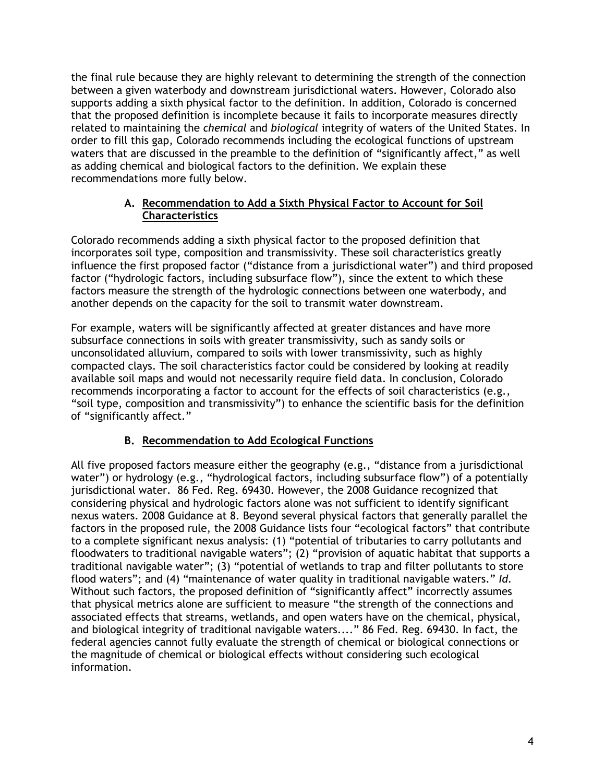the final rule because they are highly relevant to determining the strength of the connection between a given waterbody and downstream jurisdictional waters. However, Colorado also supports adding a sixth physical factor to the definition. In addition, Colorado is concerned that the proposed definition is incomplete because it fails to incorporate measures directly related to maintaining the *chemical* and *biological* integrity of waters of the United States. In order to fill this gap, Colorado recommends including the ecological functions of upstream waters that are discussed in the preamble to the definition of "significantly affect," as well as adding chemical and biological factors to the definition. We explain these recommendations more fully below.

### **A. Recommendation to Add a Sixth Physical Factor to Account for Soil Characteristics**

Colorado recommends adding a sixth physical factor to the proposed definition that incorporates soil type, composition and transmissivity. These soil characteristics greatly influence the first proposed factor ("distance from a jurisdictional water") and third proposed factor ("hydrologic factors, including subsurface flow"), since the extent to which these factors measure the strength of the hydrologic connections between one waterbody, and another depends on the capacity for the soil to transmit water downstream.

For example, waters will be significantly affected at greater distances and have more subsurface connections in soils with greater transmissivity, such as sandy soils or unconsolidated alluvium, compared to soils with lower transmissivity, such as highly compacted clays. The soil characteristics factor could be considered by looking at readily available soil maps and would not necessarily require field data. In conclusion, Colorado recommends incorporating a factor to account for the effects of soil characteristics (e.g., "soil type, composition and transmissivity") to enhance the scientific basis for the definition of "significantly affect."

## **B. Recommendation to Add Ecological Functions**

All five proposed factors measure either the geography (e.g., "distance from a jurisdictional water") or hydrology (e.g., "hydrological factors, including subsurface flow") of a potentially jurisdictional water. 86 Fed. Reg. 69430. However, the 2008 Guidance recognized that considering physical and hydrologic factors alone was not sufficient to identify significant nexus waters. 2008 Guidance at 8. Beyond several physical factors that generally parallel the factors in the proposed rule, the 2008 Guidance lists four "ecological factors" that contribute to a complete significant nexus analysis: (1) "potential of tributaries to carry pollutants and floodwaters to traditional navigable waters"; (2) "provision of aquatic habitat that supports a traditional navigable water"; (3) "potential of wetlands to trap and filter pollutants to store flood waters"; and (4) "maintenance of water quality in traditional navigable waters." *Id.* Without such factors, the proposed definition of "significantly affect" incorrectly assumes that physical metrics alone are sufficient to measure "the strength of the connections and associated effects that streams, wetlands, and open waters have on the chemical, physical, and biological integrity of traditional navigable waters...." 86 Fed. Reg. 69430. In fact, the federal agencies cannot fully evaluate the strength of chemical or biological connections or the magnitude of chemical or biological effects without considering such ecological information.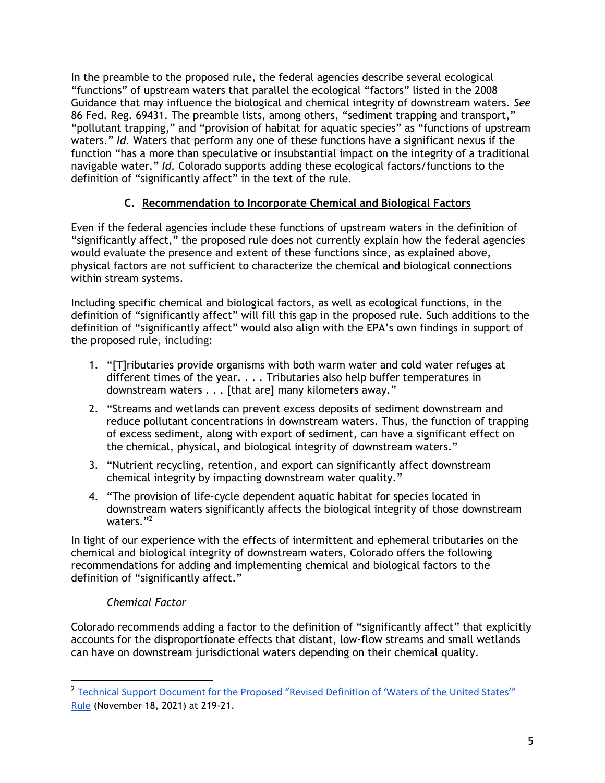In the preamble to the proposed rule, the federal agencies describe several ecological "functions" of upstream waters that parallel the ecological "factors" listed in the 2008 Guidance that may influence the biological and chemical integrity of downstream waters. *See* 86 Fed. Reg. 69431. The preamble lists, among others, "sediment trapping and transport," "pollutant trapping," and "provision of habitat for aquatic species" as "functions of upstream waters." *Id.* Waters that perform any one of these functions have a significant nexus if the function "has a more than speculative or insubstantial impact on the integrity of a traditional navigable water." *Id.* Colorado supports adding these ecological factors/functions to the definition of "significantly affect" in the text of the rule.

## **C. Recommendation to Incorporate Chemical and Biological Factors**

Even if the federal agencies include these functions of upstream waters in the definition of "significantly affect," the proposed rule does not currently explain how the federal agencies would evaluate the presence and extent of these functions since, as explained above, physical factors are not sufficient to characterize the chemical and biological connections within stream systems.

Including specific chemical and biological factors, as well as ecological functions, in the definition of "significantly affect" will fill this gap in the proposed rule. Such additions to the definition of "significantly affect" would also align with the EPA's own findings in support of the proposed rule, including:

- 1. "[T]ributaries provide organisms with both warm water and cold water refuges at different times of the year. . . . Tributaries also help buffer temperatures in downstream waters . . . [that are] many kilometers away."
- 2. "Streams and wetlands can prevent excess deposits of sediment downstream and reduce pollutant concentrations in downstream waters. Thus, the function of trapping of excess sediment, along with export of sediment, can have a significant effect on the chemical, physical, and biological integrity of downstream waters."
- 3. "Nutrient recycling, retention, and export can significantly affect downstream chemical integrity by impacting downstream water quality."
- 4. "The provision of life-cycle dependent aquatic habitat for species located in downstream waters significantly affects the biological integrity of those downstream waters."<sup>2</sup>

In light of our experience with the effects of intermittent and ephemeral tributaries on the chemical and biological integrity of downstream waters, Colorado offers the following recommendations for adding and implementing chemical and biological factors to the definition of "significantly affect."

## *Chemical Factor*

Colorado recommends adding a factor to the definition of "significantly affect" that explicitly accounts for the disproportionate effects that distant, low-flow streams and small wetlands can have on downstream jurisdictional waters depending on their chemical quality.

<sup>&</sup>lt;sup>2</sup> Technical Support Document for the Proposed "Revised Definition of 'Waters of the United States'" [Rule](https://www.epa.gov/system/files/documents/2021-12/tsd-proposedrule_508.pdf) (November 18, 2021) at 219-21.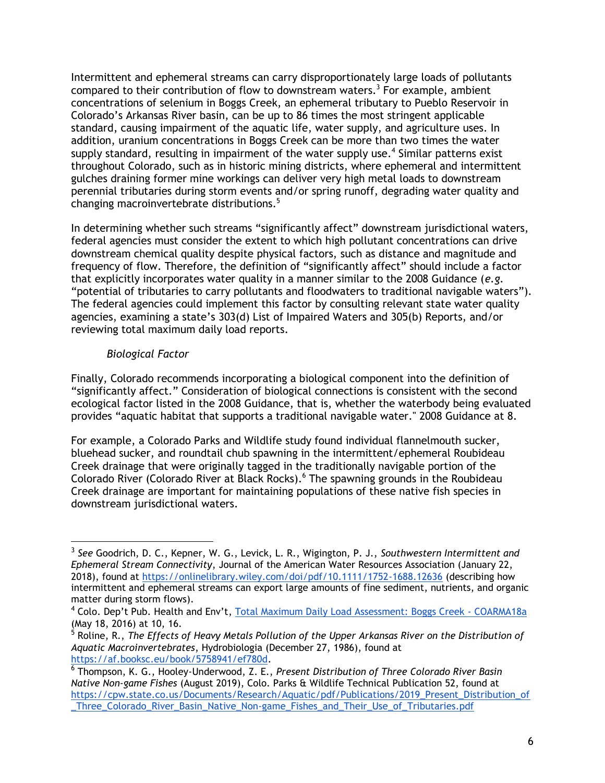Intermittent and ephemeral streams can carry disproportionately large loads of pollutants compared to their contribution of flow to downstream waters.<sup>3</sup> For example, ambient concentrations of selenium in Boggs Creek, an ephemeral tributary to Pueblo Reservoir in Colorado's Arkansas River basin, can be up to 86 times the most stringent applicable standard, causing impairment of the aquatic life, water supply, and agriculture uses. In addition, uranium concentrations in Boggs Creek can be more than two times the water supply standard, resulting in impairment of the water supply use.<sup>4</sup> Similar patterns exist throughout Colorado, such as in historic mining districts, where ephemeral and intermittent gulches draining former mine workings can deliver very high metal loads to downstream perennial tributaries during storm events and/or spring runoff, degrading water quality and changing macroinvertebrate distributions.<sup>5</sup>

In determining whether such streams "significantly affect" downstream jurisdictional waters, federal agencies must consider the extent to which high pollutant concentrations can drive downstream chemical quality despite physical factors, such as distance and magnitude and frequency of flow. Therefore, the definition of "significantly affect" should include a factor that explicitly incorporates water quality in a manner similar to the 2008 Guidance (*e.g.* "potential of tributaries to carry pollutants and floodwaters to traditional navigable waters"). The federal agencies could implement this factor by consulting relevant state water quality agencies, examining a state's 303(d) List of Impaired Waters and 305(b) Reports, and/or reviewing total maximum daily load reports.

### *Biological Factor*

Finally, Colorado recommends incorporating a biological component into the definition of "significantly affect." Consideration of biological connections is consistent with the second ecological factor listed in the 2008 Guidance, that is, whether the waterbody being evaluated provides "aquatic habitat that supports a traditional navigable water." 2008 Guidance at 8.

For example, a Colorado Parks and Wildlife study found individual flannelmouth sucker, bluehead sucker, and roundtail chub spawning in the intermittent/ephemeral Roubideau Creek drainage that were originally tagged in the traditionally navigable portion of the Colorado River (Colorado River at Black Rocks).<sup>6</sup> The spawning grounds in the Roubideau Creek drainage are important for maintaining populations of these native fish species in downstream jurisdictional waters.

<sup>3</sup> *See* Goodrich, D. C., Kepner, W. G., Levick, L. R., Wigington, P. J., *Southwestern Intermittent and Ephemeral Stream Connectivity*, Journal of the American Water Resources Association (January 22, 2018), found at<https://onlinelibrary.wiley.com/doi/pdf/10.1111/1752-1688.12636> (describing how intermittent and ephemeral streams can export large amounts of fine sediment, nutrients, and organic matter during storm flows).

<sup>&</sup>lt;sup>4</sup> Colo. Dep't Pub. Health and Env't, [Total Maximum Daily Load Assessment: Boggs Creek -](https://drive.google.com/file/d/1NgTgQAuOcXuccI1cULTYW8dZKI4bm7HB/view) COARMA18a (May 18, 2016) at 10, 16. 5 Roline, R., *The Effects of Heavy Metals Pollution of the Upper Arkansas River on the Distribution of* 

*Aquatic Macroinvertebrates*, Hydrobiologia (December 27, 1986), found at [https://af.booksc.eu/book/5758941/ef780d.](https://af.booksc.eu/book/5758941/ef780d)

<sup>6</sup> Thompson, K. G., Hooley-Underwood, Z. E., *Present Distribution of Three Colorado River Basin Native Non-game Fishes* (August 2019), Colo. Parks & Wildlife Technical Publication 52, found at [https://cpw.state.co.us/Documents/Research/Aquatic/pdf/Publications/2019\\_Present\\_Distribution\\_of](https://cpw.state.co.us/Documents/Research/Aquatic/pdf/Publications/2019_Present_Distribution_of_Three_Colorado_River_Basin_Native_Non-game_Fishes_and_Their_Use_of_Tributaries.pdf) [\\_Three\\_Colorado\\_River\\_Basin\\_Native\\_Non-game\\_Fishes\\_and\\_Their\\_Use\\_of\\_Tributaries.pdf](https://cpw.state.co.us/Documents/Research/Aquatic/pdf/Publications/2019_Present_Distribution_of_Three_Colorado_River_Basin_Native_Non-game_Fishes_and_Their_Use_of_Tributaries.pdf)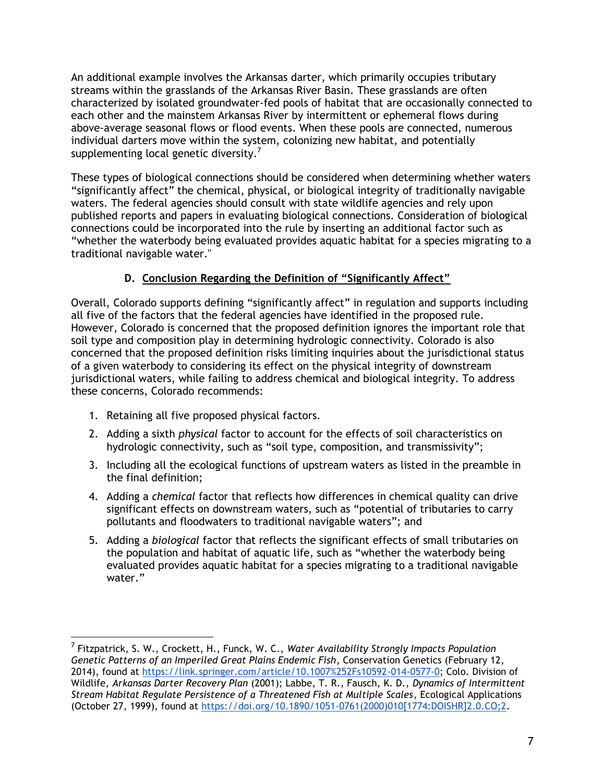An additional example involves the Arkansas darter, which primarily occupies tributary streams within the grasslands of the Arkansas River Basin. These grasslands are often characterized by isolated groundwater-fed pools of habitat that are occasionally connected to each other and the mainstem Arkansas River by intermittent or ephemeral flows during above-average seasonal flows or flood events. When these pools are connected, numerous individual darters move within the system, colonizing new habitat, and potentially supplementing local genetic diversity.<sup>7</sup>

These types of biological connections should be considered when determining whether waters "significantly affect" the chemical, physical, or biological integrity of traditionally navigable waters. The federal agencies should consult with state wildlife agencies and rely upon published reports and papers in evaluating biological connections. Consideration of biological connections could be incorporated into the rule by inserting an additional factor such as "whether the waterbody being evaluated provides aquatic habitat for a species migrating to a traditional navigable water."

# **D. Conclusion Regarding the Definition of "Significantly Affect"**

Overall, Colorado supports defining "significantly affect" in regulation and supports including all five of the factors that the federal agencies have identified in the proposed rule. However, Colorado is concerned that the proposed definition ignores the important role that soil type and composition play in determining hydrologic connectivity. Colorado is also concerned that the proposed definition risks limiting inquiries about the jurisdictional status of a given waterbody to considering its effect on the physical integrity of downstream jurisdictional waters, while failing to address chemical and biological integrity. To address these concerns, Colorado recommends:

- 1. Retaining all five proposed physical factors.
- 2. Adding a sixth *physical* factor to account for the effects of soil characteristics on hydrologic connectivity, such as "soil type, composition, and transmissivity";
- 3. Including all the ecological functions of upstream waters as listed in the preamble in the final definition;
- 4. Adding a *chemical* factor that reflects how differences in chemical quality can drive significant effects on downstream waters, such as "potential of tributaries to carry pollutants and floodwaters to traditional navigable waters"; and
- 5. Adding a *biological* factor that reflects the significant effects of small tributaries on the population and habitat of aquatic life, such as "whether the waterbody being evaluated provides aquatic habitat for a species migrating to a traditional navigable water."

<sup>7</sup> Fitzpatrick, S. W., Crockett, H., Funck, W. C., *Water Availability Strongly Impacts Population Genetic Patterns of an Imperiled Great Plains Endemic Fish*, Conservation Genetics (February 12, 2014), found at [https://link.springer.com/article/10.1007%252Fs10592-014-0577-0;](https://link.springer.com/article/10.1007%252Fs10592-014-0577-0) Colo. Division of Wildlife, *Arkansas Darter Recovery Plan* (2001); Labbe, T. R., Fausch, K. D., *Dynamics of Intermittent Stream Habitat Regulate Persistence of a Threatened Fish at Multiple Scales*, Ecological Applications (October 27, 1999), found at [https://doi.org/10.1890/1051-0761\(2000\)010\[1774:DOISHR\]2.0.CO;2.](https://doi.org/10.1890/1051-0761(2000)010%5B1774:DOISHR%5D2.0.CO;2)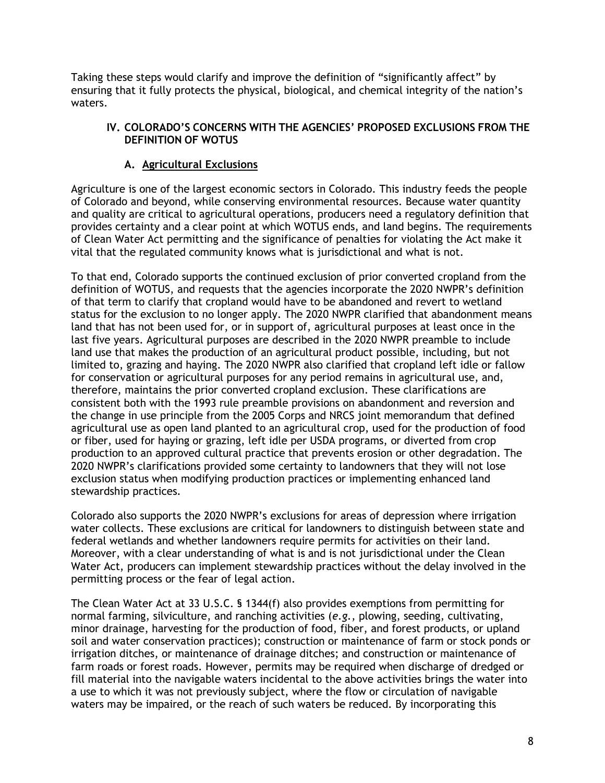Taking these steps would clarify and improve the definition of "significantly affect" by ensuring that it fully protects the physical, biological, and chemical integrity of the nation's waters.

### **IV. COLORADO'S CONCERNS WITH THE AGENCIES' PROPOSED EXCLUSIONS FROM THE DEFINITION OF WOTUS**

### **A. Agricultural Exclusions**

Agriculture is one of the largest economic sectors in Colorado. This industry feeds the people of Colorado and beyond, while conserving environmental resources. Because water quantity and quality are critical to agricultural operations, producers need a regulatory definition that provides certainty and a clear point at which WOTUS ends, and land begins. The requirements of Clean Water Act permitting and the significance of penalties for violating the Act make it vital that the regulated community knows what is jurisdictional and what is not.

To that end, Colorado supports the continued exclusion of prior converted cropland from the definition of WOTUS, and requests that the agencies incorporate the 2020 NWPR's definition of that term to clarify that cropland would have to be abandoned and revert to wetland status for the exclusion to no longer apply. The 2020 NWPR clarified that abandonment means land that has not been used for, or in support of, agricultural purposes at least once in the last five years. Agricultural purposes are described in the 2020 NWPR preamble to include land use that makes the production of an agricultural product possible, including, but not limited to, grazing and haying. The 2020 NWPR also clarified that cropland left idle or fallow for conservation or agricultural purposes for any period remains in agricultural use, and, therefore, maintains the prior converted cropland exclusion. These clarifications are consistent both with the 1993 rule preamble provisions on abandonment and reversion and the change in use principle from the 2005 Corps and NRCS joint memorandum that defined agricultural use as open land planted to an agricultural crop, used for the production of food or fiber, used for haying or grazing, left idle per USDA programs, or diverted from crop production to an approved cultural practice that prevents erosion or other degradation. The 2020 NWPR's clarifications provided some certainty to landowners that they will not lose exclusion status when modifying production practices or implementing enhanced land stewardship practices.

Colorado also supports the 2020 NWPR's exclusions for areas of depression where irrigation water collects. These exclusions are critical for landowners to distinguish between state and federal wetlands and whether landowners require permits for activities on their land. Moreover, with a clear understanding of what is and is not jurisdictional under the Clean Water Act, producers can implement stewardship practices without the delay involved in the permitting process or the fear of legal action.

The Clean Water Act at 33 U.S.C. § 1344(f) also provides exemptions from permitting for normal farming, silviculture, and ranching activities (*e.g.*, plowing, seeding, cultivating, minor drainage, harvesting for the production of food, fiber, and forest products, or upland soil and water conservation practices); construction or maintenance of farm or stock ponds or irrigation ditches, or maintenance of drainage ditches; and construction or maintenance of farm roads or forest roads. However, permits may be required when discharge of dredged or fill material into the navigable waters incidental to the above activities brings the water into a use to which it was not previously subject, where the flow or circulation of navigable waters may be impaired, or the reach of such waters be reduced. By incorporating this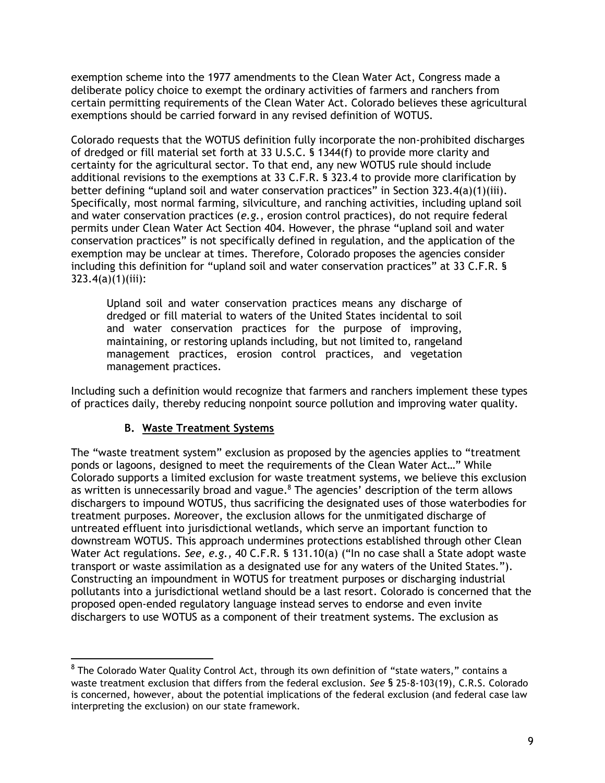exemption scheme into the 1977 amendments to the Clean Water Act, Congress made a deliberate policy choice to exempt the ordinary activities of farmers and ranchers from certain permitting requirements of the Clean Water Act. Colorado believes these agricultural exemptions should be carried forward in any revised definition of WOTUS.

Colorado requests that the WOTUS definition fully incorporate the non-prohibited discharges of dredged or fill material set forth at 33 U.S.C. § 1344(f) to provide more clarity and certainty for the agricultural sector. To that end, any new WOTUS rule should include additional revisions to the exemptions at 33 C.F.R. § 323.4 to provide more clarification by better defining "upland soil and water conservation practices" in Section 323.4(a)(1)(iii). Specifically, most normal farming, silviculture, and ranching activities, including upland soil and water conservation practices (*e.g.*, erosion control practices), do not require federal permits under Clean Water Act Section 404. However, the phrase "upland soil and water conservation practices" is not specifically defined in regulation, and the application of the exemption may be unclear at times. Therefore, Colorado proposes the agencies consider including this definition for "upland soil and water conservation practices" at 33 C.F.R. § 323.4(a)(1)(iii):

Upland soil and water conservation practices means any discharge of dredged or fill material to waters of the United States incidental to soil and water conservation practices for the purpose of improving, maintaining, or restoring uplands including, but not limited to, rangeland management practices, erosion control practices, and vegetation management practices.

Including such a definition would recognize that farmers and ranchers implement these types of practices daily, thereby reducing nonpoint source pollution and improving water quality.

## **B. Waste Treatment Systems**

The "waste treatment system" exclusion as proposed by the agencies applies to "treatment ponds or lagoons, designed to meet the requirements of the Clean Water Act…" While Colorado supports a limited exclusion for waste treatment systems, we believe this exclusion as written is unnecessarily broad and vague.<sup>8</sup> The agencies' description of the term allows dischargers to impound WOTUS, thus sacrificing the designated uses of those waterbodies for treatment purposes. Moreover, the exclusion allows for the unmitigated discharge of untreated effluent into jurisdictional wetlands, which serve an important function to downstream WOTUS. This approach undermines protections established through other Clean Water Act regulations. *See, e.g.,* 40 C.F.R. § 131.10(a) ("In no case shall a State adopt waste transport or waste assimilation as a designated use for any waters of the United States."). Constructing an impoundment in WOTUS for treatment purposes or discharging industrial pollutants into a jurisdictional wetland should be a last resort. Colorado is concerned that the proposed open-ended regulatory language instead serves to endorse and even invite dischargers to use WOTUS as a component of their treatment systems. The exclusion as

 $^8$  The Colorado Water Quality Control Act, through its own definition of "state waters," contains a waste treatment exclusion that differs from the federal exclusion. *See* § 25-8-103(19), C.R.S. Colorado is concerned, however, about the potential implications of the federal exclusion (and federal case law interpreting the exclusion) on our state framework.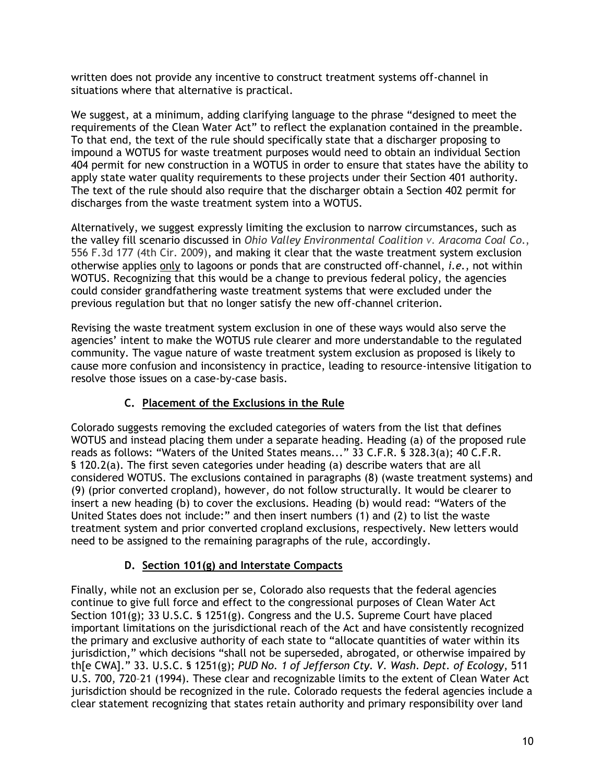written does not provide any incentive to construct treatment systems off-channel in situations where that alternative is practical.

We suggest, at a minimum, adding clarifying language to the phrase "designed to meet the requirements of the Clean Water Act" to reflect the explanation contained in the preamble. To that end, the text of the rule should specifically state that a discharger proposing to impound a WOTUS for waste treatment purposes would need to obtain an individual Section 404 permit for new construction in a WOTUS in order to ensure that states have the ability to apply state water quality requirements to these projects under their Section 401 authority. The text of the rule should also require that the discharger obtain a Section 402 permit for discharges from the waste treatment system into a WOTUS.

Alternatively, we suggest expressly limiting the exclusion to narrow circumstances, such as the valley fill scenario discussed in *Ohio Valley Environmental Coalition v. Aracoma Coal Co*., 556 F.3d 177 (4th Cir. 2009), and making it clear that the waste treatment system exclusion otherwise applies only to lagoons or ponds that are constructed off-channel, *i.e.*, not within WOTUS. Recognizing that this would be a change to previous federal policy, the agencies could consider grandfathering waste treatment systems that were excluded under the previous regulation but that no longer satisfy the new off-channel criterion.

Revising the waste treatment system exclusion in one of these ways would also serve the agencies' intent to make the WOTUS rule clearer and more understandable to the regulated community. The vague nature of waste treatment system exclusion as proposed is likely to cause more confusion and inconsistency in practice, leading to resource-intensive litigation to resolve those issues on a case-by-case basis.

# **C. Placement of the Exclusions in the Rule**

Colorado suggests removing the excluded categories of waters from the list that defines WOTUS and instead placing them under a separate heading. Heading (a) of the proposed rule reads as follows: "Waters of the United States means..." 33 C.F.R. § 328.3(a); 40 C.F.R. § 120.2(a). The first seven categories under heading (a) describe waters that are all considered WOTUS. The exclusions contained in paragraphs (8) (waste treatment systems) and (9) (prior converted cropland), however, do not follow structurally. It would be clearer to insert a new heading (b) to cover the exclusions. Heading (b) would read: "Waters of the United States does not include:" and then insert numbers (1) and (2) to list the waste treatment system and prior converted cropland exclusions, respectively. New letters would need to be assigned to the remaining paragraphs of the rule, accordingly.

## **D. Section 101(g) and Interstate Compacts**

Finally, while not an exclusion per se, Colorado also requests that the federal agencies continue to give full force and effect to the congressional purposes of Clean Water Act Section 101(g); 33 U.S.C. § 1251(g). Congress and the U.S. Supreme Court have placed important limitations on the jurisdictional reach of the Act and have consistently recognized the primary and exclusive authority of each state to "allocate quantities of water within its jurisdiction," which decisions "shall not be superseded, abrogated, or otherwise impaired by th[e CWA]." 33. U.S.C. § 1251(g); *PUD No. 1 of Jefferson Cty. V. Wash. Dept. of Ecology*, 511 U.S. 700, 720–21 (1994). These clear and recognizable limits to the extent of Clean Water Act jurisdiction should be recognized in the rule. Colorado requests the federal agencies include a clear statement recognizing that states retain authority and primary responsibility over land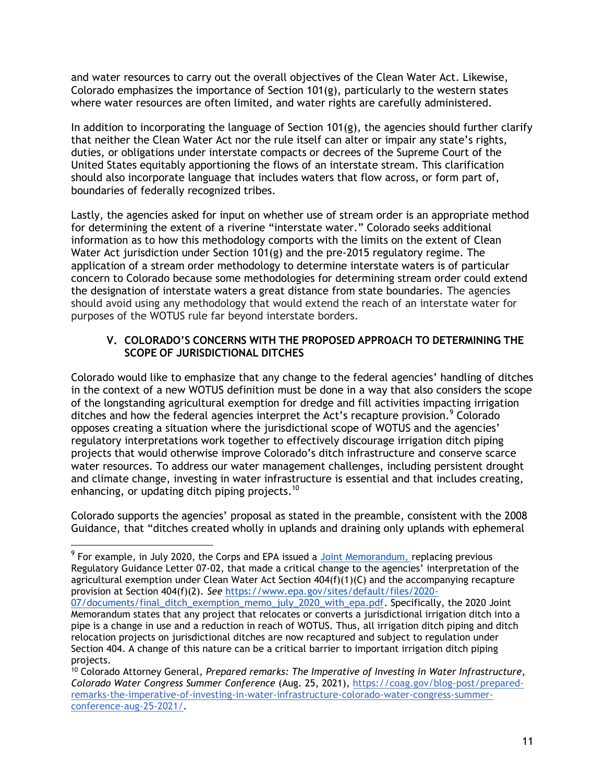and water resources to carry out the overall objectives of the Clean Water Act. Likewise, Colorado emphasizes the importance of Section 101(g), particularly to the western states where water resources are often limited, and water rights are carefully administered.

In addition to incorporating the language of Section 101(g), the agencies should further clarify that neither the Clean Water Act nor the rule itself can alter or impair any state's rights, duties, or obligations under interstate compacts or decrees of the Supreme Court of the United States equitably apportioning the flows of an interstate stream. This clarification should also incorporate language that includes waters that flow across, or form part of, boundaries of federally recognized tribes.

Lastly, the agencies asked for input on whether use of stream order is an appropriate method for determining the extent of a riverine "interstate water." Colorado seeks additional information as to how this methodology comports with the limits on the extent of Clean Water Act jurisdiction under Section 101(g) and the pre-2015 regulatory regime. The application of a stream order methodology to determine interstate waters is of particular concern to Colorado because some methodologies for determining stream order could extend the designation of interstate waters a great distance from state boundaries. The agencies should avoid using any methodology that would extend the reach of an interstate water for purposes of the WOTUS rule far beyond interstate borders.

## **V. COLORADO'S CONCERNS WITH THE PROPOSED APPROACH TO DETERMINING THE SCOPE OF JURISDICTIONAL DITCHES**

Colorado would like to emphasize that any change to the federal agencies' handling of ditches in the context of a new WOTUS definition must be done in a way that also considers the scope of the longstanding agricultural exemption for dredge and fill activities impacting irrigation ditches and how the federal agencies interpret the Act's recapture provision.<sup>9</sup> Colorado opposes creating a situation where the jurisdictional scope of WOTUS and the agencies' regulatory interpretations work together to effectively discourage irrigation ditch piping projects that would otherwise improve Colorado's ditch infrastructure and conserve scarce water resources. To address our water management challenges, including persistent drought and climate change, investing in water infrastructure is essential and that includes creating, enhancing, or updating ditch piping projects.<sup>10</sup>

Colorado supports the agencies' proposal as stated in the preamble, consistent with the 2008 Guidance, that "ditches created wholly in uplands and draining only uplands with ephemeral

 $9$  For example, in July 2020, the Corps and EPA issued a [Joint Memorandum, r](https://drive.google.com/file/d/1AUsGddXbxoY4c-EPUiSwRsOvfZoGQnTw/view?usp=sharing)eplacing previous Regulatory Guidance Letter 07-02, that made a critical change to the agencies' interpretation of the agricultural exemption under Clean Water Act Section 404(f)(1)(C) and the accompanying recapture provision at Section 404(f)(2). *See* [https://www.epa.gov/sites/default/files/2020-](https://www.epa.gov/sites/default/files/2020-07/documents/final_ditch_exemption_memo_july_2020_with_epa.pdf)

[<sup>07/</sup>documents/final\\_ditch\\_exemption\\_memo\\_july\\_2020\\_with\\_epa.pdf.](https://www.epa.gov/sites/default/files/2020-07/documents/final_ditch_exemption_memo_july_2020_with_epa.pdf) Specifically, the 2020 Joint Memorandum states that any project that relocates or converts a jurisdictional irrigation ditch into a pipe is a change in use and a reduction in reach of WOTUS. Thus, all irrigation ditch piping and ditch relocation projects on jurisdictional ditches are now recaptured and subject to regulation under Section 404. A change of this nature can be a critical barrier to important irrigation ditch piping projects.

<sup>10</sup> Colorado Attorney General, *Prepared remarks: The Imperative of Investing in Water Infrastructure, Colorado Water Congress Summer Conference* (Aug. 25, 2021), [https://coag.gov/blog-post/prepared](https://coag.gov/blog-post/prepared-remarks-the-imperative-of-investing-in-water-infrastructure-colorado-water-congress-summer-conference-aug-25-2021/)[remarks-the-imperative-of-investing-in-water-infrastructure-colorado-water-congress-summer](https://coag.gov/blog-post/prepared-remarks-the-imperative-of-investing-in-water-infrastructure-colorado-water-congress-summer-conference-aug-25-2021/)[conference-aug-25-2021/.](https://coag.gov/blog-post/prepared-remarks-the-imperative-of-investing-in-water-infrastructure-colorado-water-congress-summer-conference-aug-25-2021/)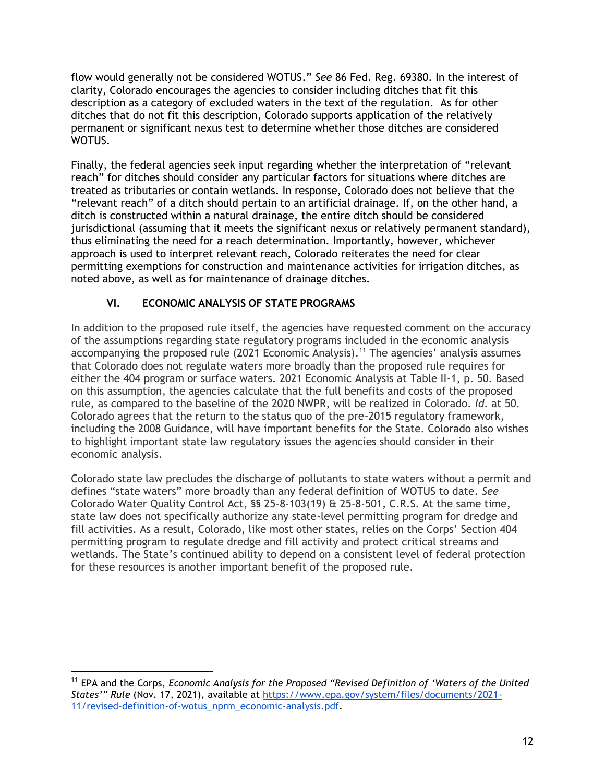flow would generally not be considered WOTUS." *See* 86 Fed. Reg. 69380. In the interest of clarity, Colorado encourages the agencies to consider including ditches that fit this description as a category of excluded waters in the text of the regulation. As for other ditches that do not fit this description, Colorado supports application of the relatively permanent or significant nexus test to determine whether those ditches are considered WOTUS.

Finally, the federal agencies seek input regarding whether the interpretation of "relevant reach" for ditches should consider any particular factors for situations where ditches are treated as tributaries or contain wetlands. In response, Colorado does not believe that the "relevant reach" of a ditch should pertain to an artificial drainage. If, on the other hand, a ditch is constructed within a natural drainage, the entire ditch should be considered jurisdictional (assuming that it meets the significant nexus or relatively permanent standard), thus eliminating the need for a reach determination. Importantly, however, whichever approach is used to interpret relevant reach, Colorado reiterates the need for clear permitting exemptions for construction and maintenance activities for irrigation ditches, as noted above, as well as for maintenance of drainage ditches.

# **VI. ECONOMIC ANALYSIS OF STATE PROGRAMS**

In addition to the proposed rule itself, the agencies have requested comment on the accuracy of the assumptions regarding state regulatory programs included in the economic analysis accompanying the proposed rule (2021 Economic Analysis).<sup>11</sup> The agencies' analysis assumes that Colorado does not regulate waters more broadly than the proposed rule requires for either the 404 program or surface waters. 2021 Economic Analysis at Table II-1, p. 50. Based on this assumption, the agencies calculate that the full benefits and costs of the proposed rule, as compared to the baseline of the 2020 NWPR, will be realized in Colorado. *Id*. at 50. Colorado agrees that the return to the status quo of the pre-2015 regulatory framework, including the 2008 Guidance, will have important benefits for the State. Colorado also wishes to highlight important state law regulatory issues the agencies should consider in their economic analysis.

Colorado state law precludes the discharge of pollutants to state waters without a permit and defines "state waters" more broadly than any federal definition of WOTUS to date. *See*  Colorado Water Quality Control Act, §§ 25-8-103(19) & 25-8-501, C.R.S. At the same time, state law does not specifically authorize any state-level permitting program for dredge and fill activities. As a result, Colorado, like most other states, relies on the Corps' Section 404 permitting program to regulate dredge and fill activity and protect critical streams and wetlands. The State's continued ability to depend on a consistent level of federal protection for these resources is another important benefit of the proposed rule.

<sup>11</sup> EPA and the Corps, *Economic Analysis for the Proposed "Revised Definition of 'Waters of the United States'" Rule* (Nov. 17, 2021), available at [https://www.epa.gov/system/files/documents/2021-](https://www.epa.gov/system/files/documents/2021-11/revised-definition-of-wotus_nprm_economic-analysis.pdf) [11/revised-definition-of-wotus\\_nprm\\_economic-analysis.pdf.](https://www.epa.gov/system/files/documents/2021-11/revised-definition-of-wotus_nprm_economic-analysis.pdf)